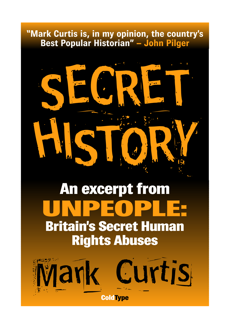# **"Mark Curtis is, in my opinion, the country's Best Popular Historian" – John Pilger**



# **An excerpt from UNPEOPLE: Britain's Secret Human Rights Abuses**

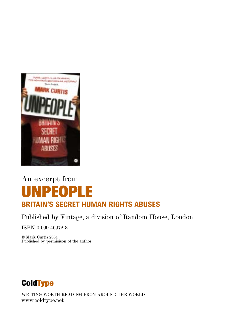

# An excerpt from **UNPEOPLE BRITAIN'S SECRET HUMAN RIGHTS ABUSES**

### Published by Vintage, a division of Random House, London

ISBN 0 099 46972 3

© Mark Curtis 2004 Published by permisison of the author

# **ColdType**

WRITING WORTH READING FROM AROUND THE WORLD www.coldtype.net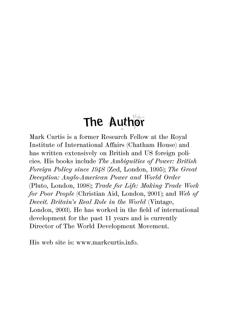# The Author

Mark Curtis is a former Research Fellow at the Royal Institute of International Affairs (Chatham House) and has written extensively on British and US foreign policies. His books include *The Ambiguities of Power: British Foreign Policy since 194S* (Zed, London, 1995); *The Great Deception: Anglo-American Power and World Order* (Pluto, London, 1998); *Trade for Life: Making Trade Work for Poor People* (Christian Aid, London, 2001); and *Web of Deceit. Britain's Real Role in the World* (Vintage, London, 2003). He has worked in the field of international development for the past 11 years and is currently Director of The World Development Movement.

His web site is: www.markcurtis.info.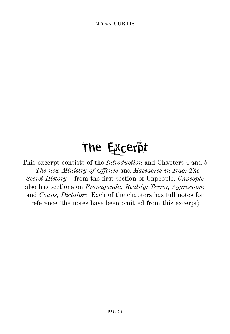# The Excerpt

This excerpt consists of the *Introduction* and Chapters 4 and 5 – *The new Ministry of Offence* and *Massacres in Iraq: The Secret History* – from the first section of Unpeople. *Unpeople* also has sections on *Propaganda, Reality; Terror, Aggression;* and *Coups, Dictators*. Each of the chapters has full notes for reference (the notes have been omitted from this excerpt)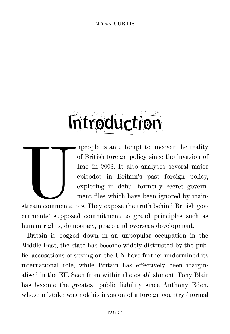# *<u>Atroduction</u>*

Impeople is an attempt to uncover the reality of British foreign policy since the invasion of Iraq in 2003. It also analyses several major episodes in Britain's past foreign policy, exploring in detail formerly secret gove of British foreign policy since the invasion of Iraq in 2003. It also analyses several major episodes in Britain's past foreign policy, exploring in detail formerly secret government files which have been ignored by main-

stream commentators. They expose the truth behind British governments' supposed commitment to grand principles such as human rights, democracy, peace and overseas development.

Britain is bogged down in an unpopular occupation in the Middle East, the state has become widely distrusted by the public, accusations of spying on the UN have further undermined its international role, while Britain has effectively been marginalised in the EU. Seen from within the establishment, Tony Blair has become the greatest public liability since Anthony Eden, whose mistake was not his invasion of a foreign country (normal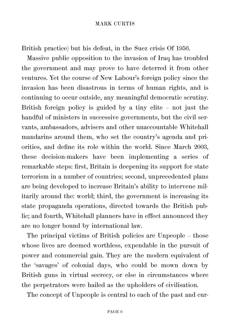British practice) but his defeat, in the Suez crisis Of 1956.

Massive public opposition to the invasion of Iraq has troubled the government and may prove to have deterred it from other ventures. Yet the course of New Labour's foreign policy since the invasion has been disastrous in terms of human rights, and is continuing to occur outside, any meaningful democratic scrutiny. British foreign policy is guided by a tiny elite – not just the handful of ministers in successive governments, but the civil servants, ambassadors, advisers and other unaccountable Whitehall mandarins around them, who set the country's agenda and priorities, and define its role within the world. Since March 2003, these decision-makers have been implementing a series of remarkable steps: first, Britain is deepening its support for state terrorism in a number of countries; second, unprecedented plans are being developed to increase Britain's ability to intervene militarily around the: world; third, the government is increasing its state propaganda operations, directed towards the British public; and fourth, Whitehall planners have in effect announced they are no longer bound by international law.

The principal victims of British policies are Unpeople – those whose lives are deemed worthless, expendable in the pursuit of power and commercial gain. They are the modern equivalent of the 'savages' of colonial days, who could be mown down by British guns in virtual secrecy, or else in circumstances where the perpetrators were hailed as the upholders of civilisation.

The concept of Unpeople is central to each of the past and cur-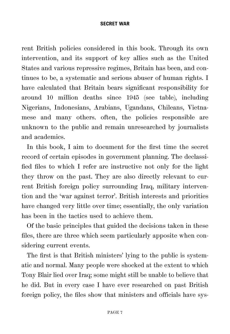rent British policies considered in this book. Through its own intervention, and its support of key allies such as the United States and various repressive regimes, Britain has been, and continues to be, a systematic and serious abuser of human rights. I have calculated that Britain bears significant responsibility for around 10 million deaths since 1945 (see table), including Nigerians, Indonesians, Arabians, Ugandans, Chileans, Vietnamese and many others. often, the policies responsible are unknown to the public and remain unresearched by journalists and academics.

In this book, I aim to document for the first time the secret record of certain episodes in government planning. The declassified files to which I refer are instructive not only for the light they throw on the past. They are also directly relevant to current British foreign policy surrounding Iraq, military intervention and the 'war against terror'. British interests and priorities have changed very little over time; essentially, the only variation has been in the tactics used to achieve them.

Of the basic principles that guided the decisions taken in these files, there are three which seem particularly apposite when considering current events.

The first is that British ministers' lying to the public is systematic and normal. Many people were shocked at the extent to which Tony Blair lied over Iraq; some might still be unable to believe that he did. But in every case I have ever researched on past British foreign policy, the files show that ministers and officials have sys-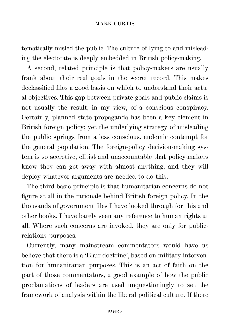tematically misled the public. The culture of lying to and misleading the electorate is deeply embedded in British policy-making.

A second, related principle is that policy-makers are usually frank about their real goals in the secret record. This makes declassified files a good basis on which to understand their actual objectives. This gap between private goals and public claims is not usually the result, in my view, of a conscious conspiracy. Certainly, planned state propaganda has been a key element in British foreign policy; yet the underlying strategy of misleading the public springs from a less conscious, endemic contempt for the general population. The foreign-policy decision-making system is so secretive, elitist and unaccountable that policy-makers know they can get away with almost anything, and they will deploy whatever arguments are needed to do this.

The third basic principle is that humanitarian concerns do not figure at all in the rationale behind British foreign policy. In the thousands of government files I have looked through for this and other books, I have barely seen any reference to human rights at all. Where such concerns are invoked, they are only for publicrelations purposes.

Currently, many mainstream commentators would have us believe that there is a 'Blair doctrine', based on military intervention for humanitarian purposes. This is an act of faith on the part of those commentators, a good example of how the public proclamations of leaders are used unquestioningly to set the framework of analysis within the liberal political culture. If there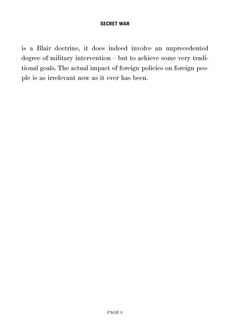is a Blair doctrine, it does indeed involve an unprecedented degree of military intervention – but to achieve some very traditional goals. The actual impact of foreign policies on foreign people is as irrelevant now as it ever has been.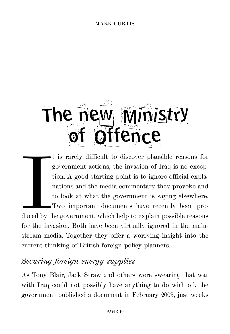# The new Ministry ffence

Example 1 t is rarely difficult to discover plausible reasons for government actions; the invasion of Iraq is no exception. A good starting point is to ignore official explanations and the media commentary they provoke and to look at what the government is saying elsewhere. Two important documents have recently been produced by the government, which help to explain possible reasons for the invasion. Both have been virtually ignored in the mainstream media. Together they offer a worrying insight into the current thinking of British foreign policy planners.

## *Securing foreign energy supplies*

As Tony Blair, Jack Straw and others were swearing that war with Iraq could not possibly have anything to do with oil, the government published a document in February 2003, just weeks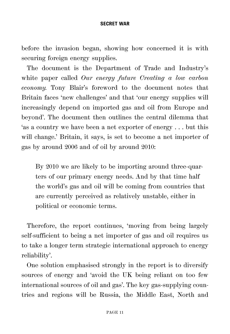before the invasion began, showing how concerned it is with securing foreign energy supplies.

The document is the Department of Trade and Industry's white paper called *Our energy future Creating a low carbon economy.* Tony Blair's foreword to the document notes that Britain faces 'new challenges' and that 'our energy supplies will increasingly depend on imported gas and oil from Europe and beyond'. The document then outlines the central dilemma that 'as a country we have been a net exporter of energy . . . but this will change.' Britain, it says, is set to become a net importer of gas by around 2006 and of oil by around 2010:

By 2010 we are likely to be importing around three-quarters of our primary energy needs. And by that time half the world's gas and oil will be coming from countries that are currently perceived as relatively unstable, either in political or economic terms.

Therefore, the report continues, 'moving from being largely self-sufficient to being a net importer of gas and oil requires us to take a longer term strategic international approach to energy reliability'.

One solution emphasised strongly in the report is to diversify sources of energy and 'avoid the UK being reliant on too few international sources of oil and gas'. The key gas-supplying countries and regions will be Russia, the Middle East, North and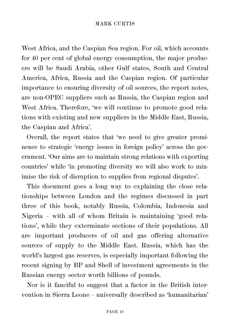West Africa, and the Caspian Sea region. For oil, which accounts for 40 per cent of global energy consumption, the major producers will be Saudi Arabia, other Gulf states, South and Central America, Africa, Russia and the Caspian region. Of particular importance to ensuring diversity of oil sources, the report notes, are non-OPEC suppliers such as Russia, the Caspian region and West Africa. Therefore, 'we will continue to promote good relations with existing and new suppliers in the Middle East, Russia, the Caspian and Africa'.

Overall, the report states that 'we need to give greater prominence to strategic 'energy issues in foreign policy' across the government. 'Our aims are to maintain strong relations with exporting countries' while 'in promoting diversity we will also work to minimise the risk of disruption to supplies from regional disputes'.

This document goes a long way to explaining the close relationships between London and the regimes discussed in part three of this book, notably Russia, Colombia, Indonesia and Nigeria – with all of whom Britain is maintaining 'good relations', while they exterminate sections of their populations. All are important producers of oil and gas offering alternative sources of supply to the Middle East. Russia, which has the world's largest gas reserves, is especially important following the recent signing by BP and Shell of investment agreements in the Russian energy sector worth billions of pounds.

Nor is it fanciful to suggest that a factor in the British intervention in Sierra Leone – universally described as 'humanitarian'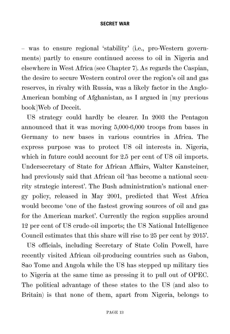– was to ensure regional 'stability' (i.e., pro-Western governments) partly to ensure continued access to oil in Nigeria and elsewhere in West Africa (see Chapter 7). As regards the Caspian, the desire to secure Western control over the region's oil and gas reserves, in rivalry with Russia, was a likely factor in the Anglo-American bombing of Afghanistan, as I argued in [my previous book]Web of Deceit.

US strategy could hardly be clearer. In 2003 the Pentagon announced that it was moving 5,000-6,000 troops from bases in Germany to new bases in various countries in Africa. The express purpose was to protect US oil interests in. Nigeria, which in future could account for 2.5 per cent of US oil imports. Undersecretary of State for African Affairs, Walter Kansteiner, had previously said that African oil 'has become a national security strategic interest'. The Bush administration's national energy policy, released in May 2001, predicted that West Africa would become 'one of the fastest growing sources of oil and gas for the American market'. Currently the region supplies around 12 per cent of US crude-oil imports; the US National Intelligence Council estimates that this share will rise to 25 per cent by 2015'.

US officials, including Secretary of State Colin Powell, have recently visited African oil-producing countries such as Gabon, Sao Tome and Angola while the US has stepped up military ties to Nigeria at the same time as pressing it to pull out of OPEC. The political advantage of these states to the US (and also to Britain) is that none of them, apart from Nigeria, belongs to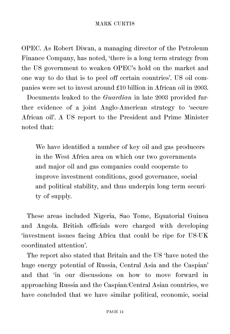OPEC. As Robert Diwan, a managing director of the Petroleum Finance Company, has noted, 'there is a long term strategy from the US government to weaken OPEC's hold on the market and one way to do that is to peel off certain countries'. US oil companies were set to invest around £10 billion in African oil in 2003.

Documents leaked to the *Guardian* in late 2003 provided further evidence of a joint Anglo-American strategy to 'secure African oil'. A US report to the President and Prime Minister noted that:

We have identified a number of key oil and gas producers in the West Africa area on which our two governments and major oil and gas companies could cooperate to improve investment conditions, good governance, social and political stability, and thus underpin long term security of supply.

These areas included Nigeria, Sao Tome, Equatorial Guinea and Angola. British officials were charged with developing 'investment issues facing Africa that could be ripe for US-UK coordinated attention'.

The report also stated that Britain and the US 'have noted the huge energy potential of Russia, Central Asia and the Caspian' and that 'in our discussions on how to move forward in approaching Russia and the Caspian/Central Asian countries, we have concluded that we have similar political, economic, social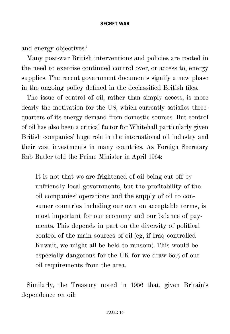and energy objectives.'

Many post-war British interventions and policies are rooted in the need to exercise continued control over, or access to, energy supplies. The recent government documents signify a new phase in the ongoing policy defined in the declassified British files.

The issue of control of oil, rather than simply access, is more dearly the motivation for the US, which currently satisfies threequarters of its energy demand from domestic sources. But control of oil has also been a critical factor for Whitehall particularly given British companies' huge role in the international oil industry and their vast investments in many countries. As Foreign Secretary Rab Butler told the Prime Minister in April 1964:

It is not that we are frightened of oil being cut off by unfriendly local governments, but the profitability of the oil companies' operations and the supply of oil to consumer countries including our own on acceptable terms, is most important for our economy and our balance of payments. This depends in part on the diversity of political control of the main sources of oil (eg, if Iraq controlled Kuwait, we might all be held to ransom). This would be especially dangerous for the UK for we draw 6o% of our oil requirements from the area.

Similarly, the Treasury noted in 1956 that, given Britain's dependence on oil: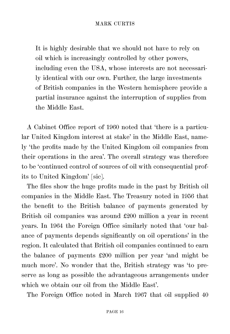It is highly desirable that we should not have to rely on oil which is increasingly controlled by other powers, including even the USA, whose interests are not necessarily identical with our own. Further, the large investments of British companies in the Western hemisphere provide a partial insurance against the interruption of supplies from the Middle East.

A Cabinet Office report of 1960 noted that 'there is a particular United Kingdom interest at stake' in the Middle East, namely 'the profits made by the United Kingdom oil companies from their operations in the area'. The overall strategy was therefore to be 'continued control of sources of oil with consequential profits to United Kingdom' [sic].

The files show the huge profits made in the past by British oil companies in the Middle East. The Treasury noted in 1956 that the benefit to the British balance of payments generated by British oil companies was around £200 million a year in recent years. In 1964 the Foreign Office similarly noted that 'our balance of payments depends significantly on oil operations' in the region. It calculated that British oil companies continued to earn the balance of payments £200 million per year 'and might be much more'. No wonder that the, British strategy was 'to preserve as long as possible the advantageous arrangements under which we obtain our oil from the Middle East'.

The Foreign Office noted in March 1967 that oil supplied 40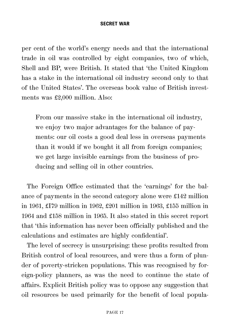per cent of the world's energy needs and that the international trade in oil was controlled by eight companies, two of which, Shell and BP, were British. It stated that 'the United Kingdom has a stake in the international oil industry second only to that of the United States'. The overseas book value of British investments was £2,000 million. Also:

From our massive stake in the international oil industry, we enjoy two major advantages for the balance of payments: our oil costs a good deal less in overseas payments than it would if we bought it all from foreign companies; we get large invisible earnings from the business of producing and selling oil in other countries.

The Foreign Office estimated that the 'earnings' for the balance of payments in the second category alone were £142 million in 1961, £I79 million in 1962, £201 million in 1963, £155 million in 1964 and £158 million in 1965. It also stated in this secret report that 'this information has never been officially published and the calculations and estimates are highly confidential'.

The level of secrecy is unsurprising: these profits resulted from British control of local resources, and were thus a form of plunder of poverty-stricken populations. This was recognised by foreign-policy planners, as was the need to continue the state of affairs. Explicit British policy was to oppose any suggestion that oil resources be used primarily for the benefit of local popula-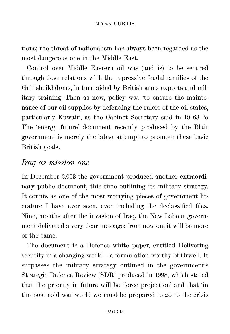tions; the threat of nationalism has always been regarded as the most dangerous one in the Middle East.

Control over Middle Eastern oil was (and is) to be secured through dose relations with the repressive feudal families of the Gulf sheikhdoms, in turn aided by British arms exports and military training. Then as now, policy was 'to ensure the maintenance of our oil supplies by defending the rulers of the oil states, particularly Kuwait', as the Cabinet Secretary said in 19 63 -'o The 'energy future' document recently produced by the Blair government is merely the latest attempt to promote these basic British goals.

### *Iraq as mission one*

In December 2.003 the government produced another extraordinary public document, this time outlining its military strategy. It counts as one of the most worrying pieces of government literature I have ever seen, even including the declassified files. Nine, months after the invasion of Iraq, the New Labour government delivered a very dear message: from now on, it will be more of the same.

The document is a Defence white paper, entitled Delivering security in a changing world – a formulation worthy of Orwell. It surpasses the military strategy outlined in the government's Strategic Defence Review (SDR) produced in 1998, which stated that the priority in future will be 'force projection' and that 'in the post cold war world we must be prepared to go to the crisis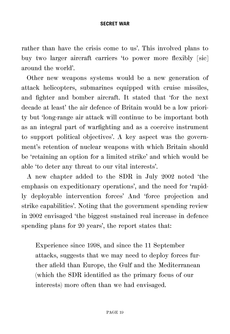rather than have the crisis come to us'. This involved plans to buy two larger aircraft carriers 'to power more flexibly [sic] around the world'.

Other new weapons systems would be a new generation of attack helicopters, submarines equipped with cruise missiles, and fighter and bomber aircraft. It stated that 'for the next decade at least' the air defence of Britain would be a low priority but 'long-range air attack will continue to be important both as an integral part of warfighting and as a coercive instrument to support political objectives'. A key aspect was the government's retention of nuclear weapons with which Britain should be 'retaining an option for a limited strike' and which would be able 'to deter any threat to our vital interests'.

A new chapter added to the SDR in July 2002 noted 'the emphasis on expeditionary operations', and the need for 'rapidly deployable intervention forces' And 'force projection and strike capabilities'. Noting that the government spending review in 2002 envisaged 'the biggest sustained real increase in defence spending plans for 20 years', the report states that:

Experience since 1998, and since the 11 September attacks, suggests that we may need to deploy forces further afield than Europe, the Gulf and the Mediterranean (which the SDR identified as the primary focus of our interests) more often than we had envisaged.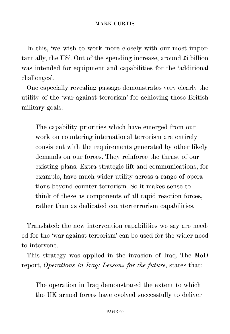In this, 'we wish to work more closely with our most important ally, the US'. Out of the spending increase, around £i billion was intended for equipment and capabilities for the 'additional challenges'.

One especially revealing passage demonstrates very clearly the utility of the 'war against terrorism' for achieving these British military goals:

The capability priorities which have emerged from our work on countering international terrorism are entirely consistent with the requirements generated by other likely demands on our forces. They reinforce the thrust of our existing plans. Extra strategic lift and communications, for example, have much wider utility across a range of operations beyond counter terrorism. So it makes sense to think of these as components of all rapid reaction forces, rather than as dedicated counterterrorism capabilities.

Translated: the new intervention capabilities we say are needed for the 'war against terrorism' can be used for the wider need to intervene.

This strategy was applied in the invasion of Iraq. The MoD report, *Operations in Iraq: Lessons for the future*, states that:

The operation in Iraq demonstrated the extent to which the UK armed forces have evolved successfully to deliver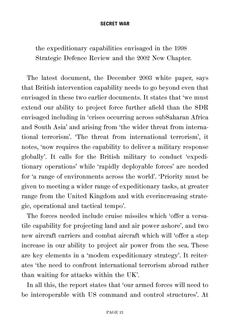the expeditionary capabilities envisaged in the 1998 Strategic Defence Review and the 2002 New Chapter.

The latest document, the December 2003 white paper, says that British intervention capability needs to go beyond even that envisaged in these two earlier documents. It states that 'we must extend our ability to project force further afield than the SDR envisaged including in 'crises occurring across subSaharan Africa and South Asia' and arising from 'the wider threat from international terrorism'. 'The threat from international terrorism', it notes, 'now requires the capability to deliver a military response globally'. It calls for the British military to conduct 'expeditionary operations' while 'rapidly deployable forces' are needed for 'a range of environments across the world'. 'Priority must be given to meeting a wider range of expeditionary tasks, at greater range from the United Kingdom and with everincreasing strategic, operational and tactical tempo'.

The forces needed include cruise missiles which 'offer a versatile capability for projecting land and air power ashore', and two new aircraft carriers and combat aircraft which will 'offer a step increase in our ability to project air power from the sea. These are key elements in a 'modem expeditionary strategy'. It reiterates 'the need to confront international terrorism abroad rather than waiting for attacks within the UK'.

In all this, the report states that 'our armed forces will need to be interoperable with US command and control structures'. At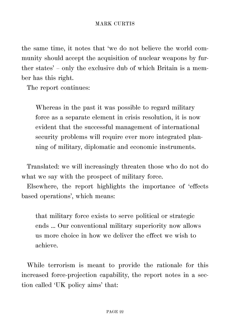the same time, it notes that 'we do not believe the world community should accept the acquisition of nuclear weapons by further states' – only the exclusive dub of which Britain is a member has this right.

The report continues:

Whereas in the past it was possible to regard military force as a separate element in crisis resolution, it is now evident that the successful management of international security problems will require ever more integrated planning of military, diplomatic and economic instruments.

Translated: we will increasingly threaten those who do not do what we say with the prospect of military force.

Elsewhere, the report highlights the importance of 'effects based operations', which means:

that military force exists to serve political or strategic ends ... Our conventional military superiority now allows us more choice in how we deliver the effect we wish to achieve.

While terrorism is meant to provide the rationale for this increased force-projection capability, the report notes in a section called 'UK policy aims' that: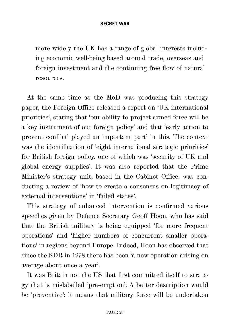more widely the UK has a range of global interests including economic well-being based around trade, overseas and foreign investment and the continuing free flow of natural resources.

At the same time as the MoD was producing this strategy paper, the Foreign Office released a report on 'UK international priorities', stating that 'our ability to project armed force will be a key instrument of our foreign policy' and that 'early action to prevent conflict' played an important part' in this. The context was the identification of 'eight international strategic priorities' for British foreign policy, one of which was 'security of UK and global energy supplies'. It was also reported that the Prime Minister's strategy unit, based in the Cabinet Office, was conducting a review of 'how to create a consensus on legitimacy of external interventions' in 'failed states'.

This strategy of enhanced intervention is confirmed various speeches given by Defence Secretary Geoff Hoon, who has said that the British military is being equipped 'for more frequent operations' and 'higher numbers of concurrent smaller operations' in regions beyond Europe. Indeed, Hoon has observed that since the SDR in 1998 there has been 'a new operation arising on average about once a year'.

It was Britain not the US that first committed itself to strategy that is mislabelled 'pre-emption'. A better description would be 'preventive': it means that military force will be undertaken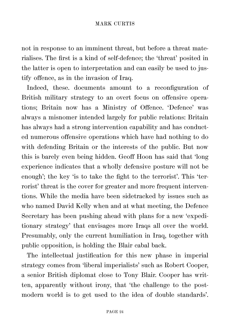not in response to an imminent threat, but before a threat materialises. The first is a kind of self-defence; the 'threat' posited in the latter is open to interpretation and can easily be used to justify offence, as in the invasion of Iraq.

Indeed, these. documents amount to a reconfiguration of British military strategy to an overt focus on offensive operations; Britain now has a Ministry of Offence. 'Defence' was always a misnomer intended largely for public relations: Britain has always had a strong intervention capability and has conducted numerous offensive operations which have had nothing to do with defending Britain or the interests of the public. But now this is barely even being hidden. Geoff Hoon has said that 'long experience indicates that a wholly defensive posture will not be enough'; the key 'is to take the fight to the terrorist'. This 'terrorist' threat is the cover for greater and more frequent interventions. While the media have been sidetracked by issues such as who named David Kelly when and at what meeting, the Defence Secretary has been pushing ahead with plans for a new 'expeditionary strategy' that envisages more Iraqs all over the world. Presumably, only the current humiliation in Iraq, together with public opposition, is holding the Blair cabal back.

The intellectual justification for this new phase in imperial strategy comes from 'liberal imperialists' such as Robert Cooper, a senior British diplomat close to Tony Blair. Cooper has written, apparently without irony, that 'the challenge to the postmodern world is to get used to the idea of double standards'.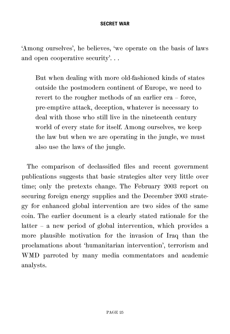'Among ourselves', he believes, 'we operate on the basis of laws and open cooperative security'...

But when dealing with more old-fashioned kinds of states outside the postmodern continent of Europe, we need to revert to the rougher methods of an earlier era – force, pre-emptive attack, deception, whatever is necessary to deal with those who still live in the nineteenth century world of every state for itself. Among ourselves, we keep the law but when we are operating in the jungle, we must also use the laws of the jungle.

The comparison of declassified files and recent government publications suggests that basic strategies alter very little over time; only the pretexts change. The February 2003 report on securing foreign energy supplies and the December 2003 strategy for enhanced global intervention are two sides of the same coin. The earlier document is a clearly stated rationale for the latter – a new period of global intervention, which provides a more plausible motivation for the invasion of Iraq than the proclamations about 'humanitarian intervention', terrorism and WMD parroted by many media commentators and academic analysts.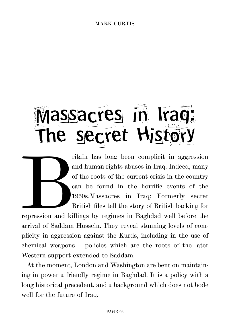# Massacres in Iraq: The secret History

ritain has long been complicit in aggression and human-rights abuses in Iraq. Indeed, many of the roots of the current crisis in the country can be found in the horrific events of the 1960s.<br>Massacres in Iraq: Formerly sec and human-rights abuses in Iraq. Indeed, many of the roots of the current crisis in the country can be found in the horrific events of the 1960s.Massacres in Iraq: Formerly secret British files tell the story of British backing for

repression and killings by regimes in Baghdad well before the arrival of Saddam Hussein. They reveal stunning levels of complicity in aggression against the Kurds, including in the use of chemical weapons – policies which are the roots of the later Western support extended to Saddam.

At the moment, London and Washington are bent on maintaining in power a friendly regime in Baghdad. It is a policy with a long historical precedent, and a background which does not bode well for the future of Iraq.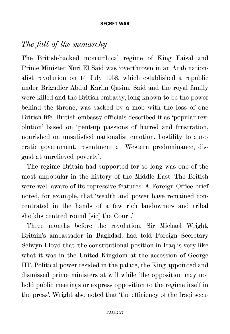## *The fall of the monarchy*

The British-backed monarchical regime of King Faisal and Prime Minister Nuri El Said was 'overthrown in an Arab nationalist revolution on 14 July 1958, which established a republic under Brigadier Abdul Karim Qasim. Said and the royal family were killed and the British embassy, long known to be the power behind the throne, was sacked by a mob with the loss of one British life. British embassy officials described it as 'popular revolution' based on 'pent-up passions of hatred and frustration, nourished on unsatisfied nationalist emotion, hostility to autocratic government, resentment at Western predominance, disgust at unrelieved poverty'.

The regime Britain had supported for so long was one of the most unpopular in the history of the Middle East. The British were well aware of its repressive features. A Foreign Office brief noted, for example, that 'wealth and power have remained concentrated in the hands of a few rich landowners and tribal sheikhs centred round [sic] the Court.'

Three months before the revolution, Sir Michael Wright, Britain's ambassador in Baghdad, had told Foreign Secretary Selwyn Lloyd that 'the constitutional position in Iraq is very like what it was in the United Kingdom at the accession of George III'. Political power resided in the palace, the King appointed and dismissed prime ministers at will while 'the opposition may not hold public meetings or express opposition to the regime itself in the press'. Wright also noted that 'the efficiency of the Iraqi secu-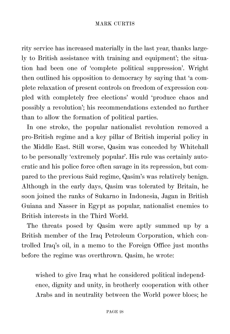rity service has increased materially in the last year, thanks largely to British assistance with training and equipment'; the situation had been one of 'complete political suppression'. Wright then outlined his opposition to democracy by saying that 'a complete relaxation of present controls on freedom of expression coupled with completely free elections' would 'produce chaos and possibly a revolution'; his recommendations extended no further than to allow the formation of political parties.

In one stroke, the popular nationalist revolution removed a pro-British regime and a key pillar of British imperial policy in the Middle East. Still worse, Qasim was conceded by Whitehall to be personally 'extremely popular'. His rule was certainly autocratic and his police force often savage in its repression, but compared to the previous Said regime, Qasim's was relatively benign. Although in the early days, Qasim was tolerated by Britain, he soon joined the ranks of Sukarno in Indonesia, Jagan in British Guiana and Nasser in Egypt as popular, nationalist enemies to British interests in the Third World.

The threats posed by Qasim were aptly summed up by a British member of the Iraq Petroleum Corporation, which controlled Iraq's oil, in a memo to the Foreign Office just months before the regime was overthrown. Qasim, he wrote:

wished to give Iraq what he considered political independence, dignity and unity, in brotherly cooperation with other Arabs and in neutrality between the World power blocs; he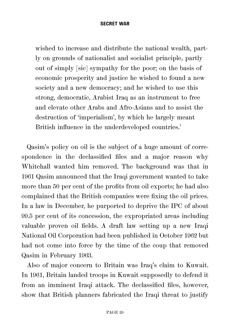wished to increase and distribute the national wealth, partly on grounds of nationalist and socialist principle, partly out of simply [sic] sympathy for the poor; on the basis of economic prosperity and justice he wished to found a new society and a new democracy; and he wished to use this strong, democratic, Arabist Iraq as an instrument to free and elevate other Arabs and Afro-Asians and to assist the destruction of 'imperialism', by which he largely meant British influence in the underdeveloped countries.'

Qasim's policy on oil is the subject of a huge amount of correspondence in the declassified files and a major reason why Whitehall wanted him removed. The background was that in 1961 Qasim announced that the Iraqi government wanted to take more than 50 per cent of the profits from oil exports; he had also complained that the British companies were fixing the oil prices. In a law in December, he purported to deprive the IPC of about 99.5 per cent of its concession, the expropriated areas including valuable proven oil fields. A draft law setting up a new Iraqi National Oil Corporation had been published in October 1962 but had not come into force by the time of the coup that removed Qasim in February 1963.

Also of major concern to Britain was Iraq's claim to Kuwait. In 1961, Britain landed troops in Kuwait supposedly to defend it from an imminent Iraqi attack. The declassified files, however, show that British planners fabricated the Iraqi threat to justify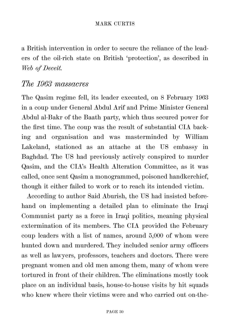a British intervention in order to secure the reliance of the leaders of the oil-rich state on British 'protection', as described in *Web of Deceit.* 

### *The 1963 massacres*

The Qasim regime fell, its leader executed, on 8 February 1963 in a coup under General Abdul Arif and Prime Minister General Abdul al-Bakr of the Baath party, which thus secured power for the first time. The coup was the result of substantial CIA backing and organisation and was masterminded by William Lakeland, stationed as an attache at the US embassy in Baghdad. The US had previously actively conspired to murder Qasim, and the CIA's Health Alteration Committee, as it was called, once sent Qasim a monogrammed, poisoned handkerchief, though it either failed to work or to reach its intended victim.

According to author Said Aburish, the US had insisted beforehand on implementing a detailed plan to eliminate the Iraqi Communist party as a force in Iraqi politics, meaning physical extermination of its members. The CIA provided the February coup leaders with a list of names, around 5,000 of whom were hunted down and murdered. They included senior army officers as well as lawyers, professors, teachers and doctors. There were pregnant women and old men among them, many of whom were tortured in front of their children. The eliminations mostly took place on an individual basis, house-to-house visits by hit squads who knew where their victims were and who carried out on-the-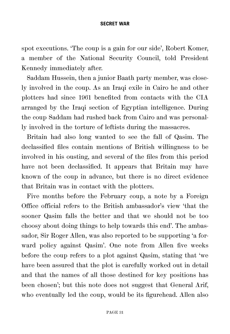spot executions. 'The coup is a gain for our side', Robert Komer, a member of the National Security Council, told President Kennedy immediately after.

Saddam Hussein, then a junior Baath party member, was closely involved in the coup. As an Iraqi exile in Cairo he and other plotters had since 1961 benefited from contacts with the CIA arranged by the Iraqi section of Egyptian intelligence. During the coup Saddam had rushed back from Cairo and was personally involved in the torture of leftists during the massacres.

Britain had also long wanted to see the fall of Qasim. The declassified files contain mentions of British willingness to be involved in his ousting, and several of the files from this period have not been declassified. It appears that Britain may have known of the coup in advance, but there is no direct evidence that Britain was in contact with the plotters.

Five months before the February coup, a note by a Foreign Office official refers to the British ambassador's view 'that the sooner Qasim falls the better and that we should not be too choosy about doing things to help towards this end'. The ambassador, Sir Roger Allen, was also reported to be supporting 'a forward policy against Qasim'. One note from Allen five weeks before the coup refers to a plot against Qasim, stating that 'we have been assured that the plot is carefully worked out in detail and that the names of all those destined for key positions has been chosen'; but this note does not suggest that General Arif, who eventually led the coup, would be its figurehead. Allen also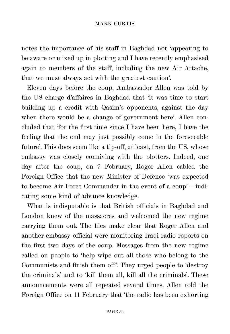notes the importance of his staff in Baghdad not 'appearing to be aware or mixed up in plotting and I have recently emphasised again to members of the staff, including the new Air Attache, that we must always act with the greatest caution'.

Eleven days before the coup, Ambassador Allen was told by the US charge d'affaires in Baghdad that 'it was time to start building up a credit with Qasim's opponents, against the day when there would be a change of government here'. Allen concluded that 'for the first time since I have been here, I have the feeling that the end may just possibly come in the foreseeable future'. This does seem like a tip-off, at least, from the US, whose embassy was closely conniving with the plotters. Indeed, one day after the coup, on 9 February, Roger Allen cabled the Foreign Office that the new Minister of Defence 'was expected to become Air Force Commander in the event of a coup' – indicating some kind of advance knowledge.

What is indisputable is that British officials in Baghdad and London knew of the massacres and welcomed the new regime carrying them out. The files make clear that Roger Allen and another embassy official were monitoring Iraqi radio reports on the first two days of the coup. Messages from the new regime called on people to 'help wipe out all those who belong to the Communists and finish them off'. They urged people to 'destroy the criminals' and to 'kill them all, kill all the criminals'. These announcements were all repeated several times. Allen told the Foreign Office on 11 February that 'the radio has been exhorting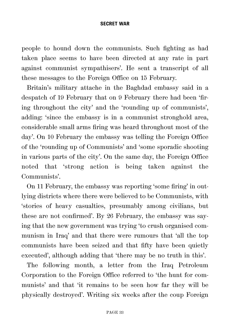people to hound down the communists. Such fighting as had taken place seems to have been directed at any rate in part against communist sympathisers'. He sent a transcript of all these messages to the Foreign Office on 15 February.

Britain's military attache in the Baghdad embassy said in a despatch of 19 February that on 9 February there had been 'firing throughout the city' and the 'rounding up of communists', adding: 'since the embassy is in a communist stronghold area, considerable small arms firing was heard throughout most of the day'. On 10 February the embassy was telling the Foreign Office of the 'rounding up of Communists' and 'some sporadic shooting in various parts of the city'. On the same day, the Foreign Office noted that 'strong action is being taken against the Communists'.

On 11 February, the embassy was reporting 'some firing' in outlying districts where there were believed to be Communists, with 'stories of heavy casualties, presumably among civilians, but these are not confirmed'. By 26 February, the embassy was saying that the new government was trying 'to crush organised communism in Iraq' and that there were rumours that 'all the top communists have been seized and that fifty have been quietly executed', although adding that 'there may be no truth in this'.

The following month, a letter from the Iraq Petroleum Corporation to the Foreign Office referred to 'the hunt for communists' and that 'it remains to be seen how far they will be physically destroyed'. Writing six weeks after the coup Foreign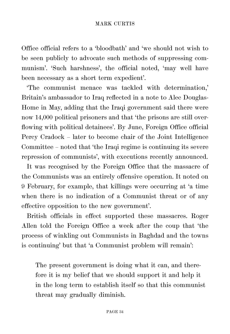Office official refers to a 'bloodbath' and 'we should not wish to be seen publicly to advocate such methods of suppressing communism'. 'Such harshness', the official noted, 'may well have been necessary as a short term expedient'.

'The communist menace was tackled with determination,' Britain's ambassador to Iraq reflected in a note to Alec Douglas-Home in May, adding that the Iraqi government said there were now 14,000 political prisoners and that 'the prisons are still overflowing with political detainees'. By June, Foreign Office official Percy Cradock – later to become chair of the Joint Intelligence Committee – noted that 'the Iraqi regime is continuing its severe repression of communists', with executions recently announced.

It was recognised by the Foreign Office that the massacre of the Communists was an entirely offensive operation. It noted on 9 February, for example, that killings were occurring at 'a time when there is no indication of a Communist threat or of any effective opposition to the new government'.

British officials in effect supported these massacres. Roger Allen told the Foreign Office a week after the coup that 'the process of winkling out Communists in Baghdad and the towns is continuing' but that 'a Communist problem will remain':

The present government is doing what it can, and therefore it is my belief that we should support it and help it in the long term to establish itself so that this communist threat may gradually diminish.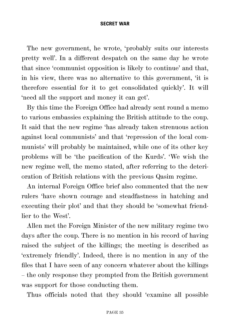The new government, he wrote, 'probably suits our interests pretty well'. In a different despatch on the same day he wrote that since 'communist opposition is likely to continue' and that, in his view, there was no alternative to this government, 'it is therefore essential for it to get consolidated quickly'. It will 'need all the support and money it can get'.

By this time the Foreign Office had already sent round a memo to various embassies explaining the British attitude to the coup. It said that the new regime 'has already taken strenuous action against local communists' and that 'repression of the local communists' will probably be maintained, while one of its other key problems will be 'the pacification of the Kurds'. 'We wish the new regime well, the memo stated, after referring to the deterioration of British relations with the previous Qasim regime.

An internal Foreign Office brief also commented that the new rulers 'have shown courage and steadfastness in hatching and executing their plot' and that they should be 'somewhat friendlier to the West'.

Allen met the Foreign Minister of the new military regime two days after the coup. There is no mention in his record of having raised the subject of the killings; the meeting is described as 'extremely friendly'. Indeed, there is no mention in any of the files that I have seen of any concern whatever about the killings – the only response they prompted from the British government was support for those conducting them.

Thus officials noted that they should 'examine all possible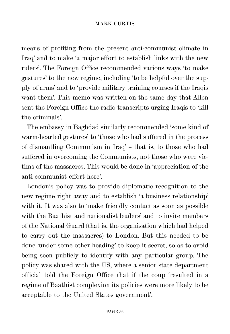means of profiting from the present anti-communist climate in Iraq' and to make 'a major effort to establish links with the new rulers'. The Foreign Office recommended various ways 'to make gestures' to the new regime, including 'to be helpful over the supply of arms' and to 'provide military training courses if the Iraqis want them'. This memo was written on the same day that Allen sent the Foreign Office the radio transcripts urging Iraqis to 'kill the criminals'.

The embassy in Baghdad similarly recommended 'some kind of warm-hearted gestures' to 'those who had suffered in the process of dismantling Communism in Iraq' – that is, to those who had suffered in overcoming the Communists, not those who were victims of the massacres. This would be done in 'appreciation of the anti-communist effort here'.

London's policy was to provide diplomatic recognition to the new regime right away and to establish 'a business relationship' with it. It was also to 'make friendly contact as soon as possible with the Baathist and nationalist leaders' and to invite members of the National Guard (that is, the organisation which had helped to carry out the massacres) to London. But this needed to be done 'under some other heading' to keep it secret, so as to avoid being seen publicly to identify with any particular group. The policy was shared with the US, where a senior state department official told the Foreign Office that if the coup 'resulted in a regime of Baathist complexion its policies were more likely to be acceptable to the United States government'.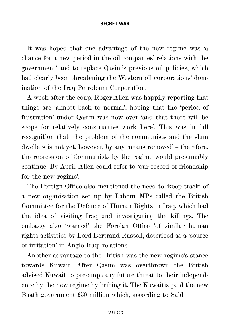It was hoped that one advantage of the new regime was 'a chance for a new period in the oil companies' relations with the government' and to replace Qasim's previous oil policies, which had clearly been threatening the Western oil corporations' domination of the Iraq Petroleum Corporation.

A week after the coup, Roger Allen was happily reporting that things are 'almost back to normal', hoping that the 'period of frustration' under Qasim was now over 'and that there will be scope for relatively constructive work here'. This was in full recognition that 'the problem of the communists and the slum dwellers is not yet, however, by any means removed' – therefore, the repression of Communists by the regime would presumably continue. By April, Allen could refer to 'our record of friendship for the new regime'.

The Foreign Office also mentioned the need to 'keep track' of a new organisation set up by Labour MPs called the British Committee for the Defence of Human Rights in Iraq, which had the idea of visiting Iraq and investigating the killings. The embassy also 'warned' the Foreign Office 'of similar human rights activities by Lord Bertrand Russell, described as a 'source of irritation' in Anglo-Iraqi relations.

Another advantage to the British was the new regime's stance towards Kuwait. After Qasim was overthrown the British advised Kuwait to pre-empt any future threat to their independence by the new regime by bribing it. The Kuwaitis paid the new Baath government £50 million which, according to Said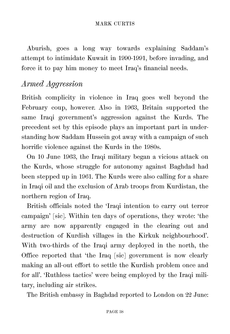Aburish, goes a long way towards explaining Saddam's attempt to intimidate Kuwait in 1990-1991, before invading, and force it to pay him money to meet Iraq's financial needs.

## *Armed Aggression*

British complicity in violence in Iraq goes well beyond the February coup, however. Also in 1963, Britain supported the same Iraqi government's aggression against the Kurds. The precedent set by this episode plays an important part in understanding how Saddam Hussein got away with a campaign of such horrific violence against the Kurds in the 1980s.

On 10 June 1963, the Iraqi military began a vicious attack on the Kurds, whose struggle for autonomy against Baghdad had been stepped up in 1961. The Kurds were also calling for a share in Iraqi oil and the exclusion of Arab troops from Kurdistan, the northern region of Iraq.

British officials noted the 'Iraqi intention to carry out terror campaign' [sic]. Within ten days of operations, they wrote: 'the army are now apparently engaged in the clearing out and destruction of Kurdish villages in the Kirkuk neighbourhood'. With two-thirds of the Iraqi army deployed in the north, the Office reported that 'the Iraq [sic] government is now clearly making an all-out effort to settle the Kurdish problem once and for all'. 'Ruthless tactics' were being employed by the Iraqi military, including air strikes.

The British embassy in Baghdad reported to London on 22 June: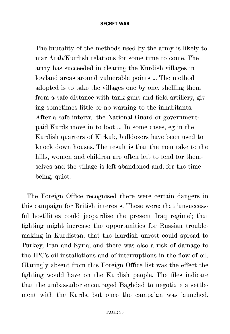The brutality of the methods used by the army is likely to mar Arab/Kurdish relations for some time to come. The army has succeeded in clearing the Kurdish villages in lowland areas around vulnerable points ... The method adopted is to take the villages one by one, shelling them from a safe distance with tank guns and field artillery, giving sometimes little or no warning to the inhabitants. After a safe interval the National Guard or governmentpaid Kurds move in to loot ... In some cases, eg in the Kurdish quarters of Kirkuk, bulldozers have been used to knock down houses. The result is that the men take to the hills, women and children are often left to fend for themselves and the village is left abandoned and, for the time being, quiet.

The Foreign Office recognised there were certain dangers in this campaign for British interests. These were: that 'unsuccessful hostilities could jeopardise the present Iraq regime'; that fighting might increase the opportunities for Russian troublemaking in Kurdistan; that the Kurdish unrest could spread to Turkey, Iran and Syria; and there was also a risk of damage to the IPC's oil installations and of interruptions in the flow of oil. Glaringly absent from this Foreign Office list was the effect the fighting would have on the Kurdish people. The files indicate that the ambassador encouraged Baghdad to negotiate a settlement with the Kurds, but once the campaign was launched,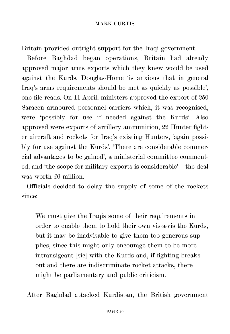Britain provided outright support for the Iraqi government.

Before Baghdad began operations, Britain had already approved major arms exports which they knew would be used against the Kurds. Douglas-Home 'is anxious that in general Iraq's arms requirements should be met as quickly as possible', one file reads. On 11 April, ministers approved the export of 250 Saracen armoured personnel carriers which, it was recognised, were 'possibly for use if needed against the Kurds'. Also approved were exports of artillery ammunition, 22 Hunter fighter aircraft and rockets for Iraq's existing Hunters, 'again possibly for use against the Kurds'. 'There are considerable commercial advantages to be gained', a ministerial committee commented, and 'the scope for military exports is considerable' – the deal was worth £6 million.

Officials decided to delay the supply of some of the rockets since:

We must give the Iraqis some of their requirements in order to enable them to hold their own vis-a-vis the Kurds, but it may be inadvisable to give them too generous supplies, since this might only encourage them to be more intransigeant [sic] with the Kurds and, if fighting breaks out and there are indiscriminate rocket attacks, there might be parliamentary and public criticism.

After Baghdad attacked Kurdistan, the British government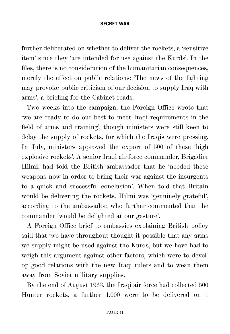further deliberated on whether to deliver the rockets, a 'sensitive item' since they 'are intended for use against the Kurds'. In the files, there is no consideration of the humanitarian consequences, merely the effect on public relations: 'The news of the fighting may provoke public criticism of our decision to supply Iraq with arms', a briefing for the Cabinet reads.

Two weeks into the campaign, the Foreign Office wrote that 'we are ready to do our best to meet Iraqi requirements in the field of arms and training', though ministers were still keen to delay the supply of rockets, for which the Iraqis were pressing. In July, ministers approved the export of 500 of these 'high explosive rockets'. A senior Iraqi air-force commander, Brigadier Hilmi, had told the British ambassador that he 'needed these weapons now in order to bring their war against the insurgents to a quick and successful conclusion'. When told that Britain would be delivering the rockets, Hilmi was 'genuinely grateful', according to the ambassador, who further commented that the commander 'would be delighted at our gesture'.

A Foreign Office brief to embassies explaining British policy said that 'we have throughout thought it possible that any arms we supply might be used against the Kurds, but we have had to weigh this argument against other factors, which were to develop good relations with the new Iraqi rulers and to wean them away from Soviet military supplies.

By the end of August 1963, the Iraqi air force had collected 500 Hunter rockets, a further 1,000 were to be delivered on 1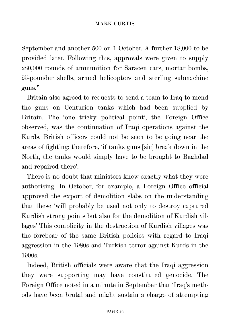September and another 500 on 1 October. A further 18,000 to be provided later. Following this, approvals were given to supply 280,000 rounds of ammunition for Saracen cars, mortar bombs, 25-pounder shells, armed helicopters and sterling submachine guns."

Britain also agreed to requests to send a team to Iraq to mend the guns on Centurion tanks which had been supplied by Britain. The 'one tricky political point', the Foreign Office observed, was the continuation of Iraqi operations against the Kurds. British officers could not be seen to be going near the areas of fighting; therefore, 'if tanks guns [sic] break down in the North, the tanks would simply have to be brought to Baghdad and repaired there'.

There is no doubt that ministers knew exactly what they were authorising. In October, for example, a Foreign Office official approved the export of demolition slabs on the understanding that these 'will probably be used not only to destroy captured Kurdish strong points but also for the demolition of Kurdish villages' This complicity in the destruction of Kurdish villages was the forebear of the same British policies with regard to Iraqi aggression in the 1980s and Turkish terror against Kurds in the 1990s.

Indeed, British officials were aware that the Iraqi aggression they were supporting may have constituted genocide. The Foreign Office noted in a minute in September that 'Iraq's methods have been brutal and might sustain a charge of attempting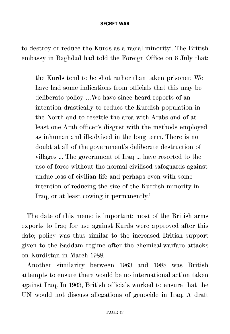to destroy or reduce the Kurds as a racial minority'. The British embassy in Baghdad had told the Foreign Office on 6 July that:

the Kurds tend to be shot rather than taken prisoner. We have had some indications from officials that this may be deliberate policy …We have since heard reports of an intention drastically to reduce the Kurdish population in the North and to resettle the area with Arabs and of at least one Arab officer's disgust with the methods employed as inhuman and ill-advised in the long term. There is no doubt at all of the government's deliberate destruction of villages ... The government of Iraq ... have resorted to the use of force without the normal civilised safeguards against undue loss of civilian life and perhaps even with some intention of reducing the size of the Kurdish minority in Iraq, or at least cowing it permanently.'

The date of this memo is important: most of the British arms exports to Iraq for use against Kurds were approved after this date; policy was thus similar to the increased British support given to the Saddam regime after the chemical-warfare attacks on Kurdistan in March 1988.

Another similarity between 1963 and 1988 was British attempts to ensure there would be no international action taken against Iraq. In 1963, British officials worked to ensure that the UN would not discuss allegations of genocide in Iraq. A draft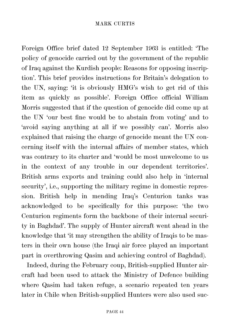Foreign Office brief dated 12 September 1963 is entitled: 'The policy of genocide carried out by the government of the republic of Iraq against the Kurdish people: Reasons for opposing inscription'. This brief provides instructions for Britain's delegation to the UN, saying: 'it is obviously HMG's wish to get rid of this item as quickly as possible'. Foreign Office official William Morris suggested that if the question of genocide did come up at the UN 'our best fine would be to abstain from voting' and to 'avoid saying anything at all if we possibly can'. Morris also explained that raising the charge of genocide meant the UN concerning itself with the internal affairs of member states, which was contrary to its charter and 'would be most unwelcome to us in the context of any trouble in our dependent territories'. British arms exports and training could also help in 'internal security', i.e., supporting the military regime in domestic repression. British help in mending Iraq's Centurion tanks was acknowledged to be specifically for this purpose: 'the two Centurion regiments form the backbone of their internal security in Baghdad'. The supply of Hunter aircraft went ahead in the knowledge that 'it may strengthen the ability of Iraqis to be masters in their own house (the Iraqi air force played an important part in overthrowing Qasim and achieving control of Baghdad).

Indeed, during the February coup, British-supplied Hunter aircraft had been used to attack the Ministry of Defence building where Qasim had taken refuge, a scenario repeated ten years later in Chile when British-supplied Hunters were also used suc-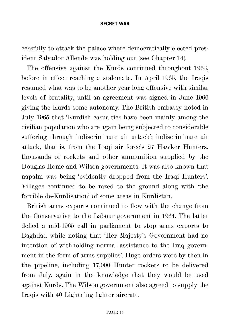cessfully to attack the palace where democratically elected president Salvador Allende was holding out (see Chapter 14).

The offensive against the Kurds continued throughout 1963, before in effect reaching a stalemate. In April 1965, the Iraqis resumed what was to be another year-long offensive with similar levels of brutality, until an agreement was signed in June 1966 giving the Kurds some autonomy. The British embassy noted in July 1965 that 'Kurdish casualties have been mainly among the civilian population who are again being subjected to considerable suffering through indiscriminate air attack'; indiscriminate air attack, that is, from the Iraqi air force's 27 Hawker Hunters, thousands of rockets and other ammunition supplied by the Douglas-Home and Wilson governments. It was also known that napalm was being 'evidently dropped from the Iraqi Hunters'. Villages continued to be razed to the ground along with 'the forcible de-Kurdisation' of some areas in Kurdistan.

British arms exports continued to flow with the change from the Conservative to the Labour government in 1964. The latter defied a mid-1965 call in parliament to stop arms exports to Baghdad while noting that 'Her Majesty's Government had no intention of withholding normal assistance to the Iraq government in the form of arms supplies'. Huge orders were by then in the pipeline, including 17,000 Hunter rockets to be delivered from July, again in the knowledge that they would be used against Kurds. The Wilson government also agreed to supply the Iraqis with 40 Lightning fighter aircraft.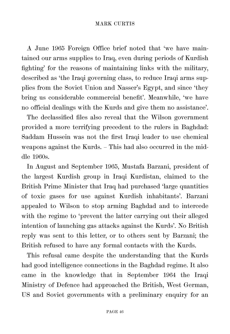A June 1965 Foreign Office brief noted that 'we have maintained our arms supplies to Iraq, even during periods of Kurdish fighting' for the reasons of maintaining links with the military, described as 'the Iraqi governing class, to reduce Iraqi arms supplies from the Soviet Union and Nasser's Egypt, and since 'they bring us considerable commercial benefit'. Meanwhile, 'we have no official dealings with the Kurds and give them no assistance'.

The declassified files also reveal that the Wilson government provided a more terrifying precedent to the rulers in Baghdad: Saddam Hussein was not the first Iraqi leader to use chemical weapons against the Kurds. – This had also occurred in the middle 1960s.

In August and September 1965, Mustafa Barzani, president of the largest Kurdish group in Iraqi Kurdistan, claimed to the British Prime Minister that Iraq had purchased 'large quantities of toxic gases for use against Kurdish inhabitants'. Barzani appealed to Wilson to stop arming Baghdad and to intercede with the regime to 'prevent the latter carrying out their alleged intention of launching gas attacks against the Kurds'. No British reply was sent to this letter, or to others sent by Barzani; the British refused to have any formal contacts with the Kurds.

This refusal came despite the understanding that the Kurds had good intelligence connections in the Baghdad regime. It also came in the knowledge that in September 1964 the Iraqi Ministry of Defence had approached the British, West German, US and Soviet governments with a preliminary enquiry for an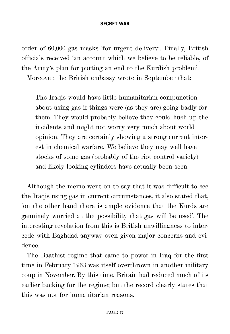order of 60,000 gas masks 'for urgent delivery'. Finally, British officials received 'an account which we believe to be reliable, of the Army's plan for putting an end to the Kurdish problem'. Moreover, the British embassy wrote in September that:

The Iraqis would have little humanitarian compunction about using gas if things were (as they are) going badly for them. They would probably believe they could hush up the incidents and might not worry very much about world opinion. They are certainly showing a strong current interest in chemical warfare. We believe they may well have stocks of some gas (probably of the riot control variety) and likely looking cylinders have actually been seen.

Although the memo went on to say that it was difficult to see the Iraqis using gas in current circumstances, it also stated that, 'on the other hand there is ample evidence that the Kurds are genuinely worried at the possibility that gas will be used'. The interesting revelation from this is British unwillingness to intercede with Baghdad anyway even given major concerns and evidence.

The Baathist regime that came to power in Iraq for the first time in February 1963 was itself overthrown in another military coup in November. By this time, Britain had reduced much of its earlier backing for the regime; but the record clearly states that this was not for humanitarian reasons.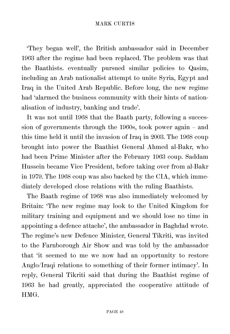'They began well', the British ambassador said in December 1963 after the regime had been replaced. The problem was that the Baathists. eventually pursued similar policies to Qasim, including an Arab nationalist attempt to unite Syria, Egypt and Iraq in the United Arab Republic. Before long, the new regime had 'alarmed the business community with their hints of nationalisation of industry, banking and trade'.

It was not until 1968 that the Baath party, following a succession of governments through the 1960s, took power again – and this time held it until the invasion of Iraq in 2003. The 1968 coup brought into power the Baathist General Ahmed al-Bakr, who had been Prime Minister after the February 1963 coup. Saddam Hussein became Vice President, before taking over from al-Bakr in 1979. The 1968 coup was also backed by the CIA, which immediately developed close relations with the ruling Baathists.

The Baath regime of 1968 was also immediately welcomed by Britain: 'The new regime may look to the United Kingdom for military training and equipment and we should lose no time in appointing a defence attache', the ambassador in Baghdad wrote. The regime's new Defence Minister, General Tikriti, was invited to the Farnborough Air Show and was told by the ambassador that 'it seemed to me we now had an opportunity to restore Anglo/Iraqi relations to something of their former intimacy'. In reply, General Tikriti said that during the Baathist regime of 1963 he had greatly, appreciated the cooperative attitude of HMG.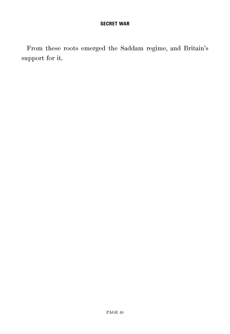From these roots emerged the Saddam regime, and Britain's support for it.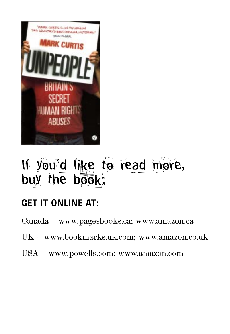

# If you'd like to read more, buy the book:

# **GET IT ONLINE AT:**

Canada – www.pagesbooks.ca; www.amazon.ca

- UK www.bookmarks.uk.com; www.amazon.co.uk
- USA www.powells.com; www.amazon.com